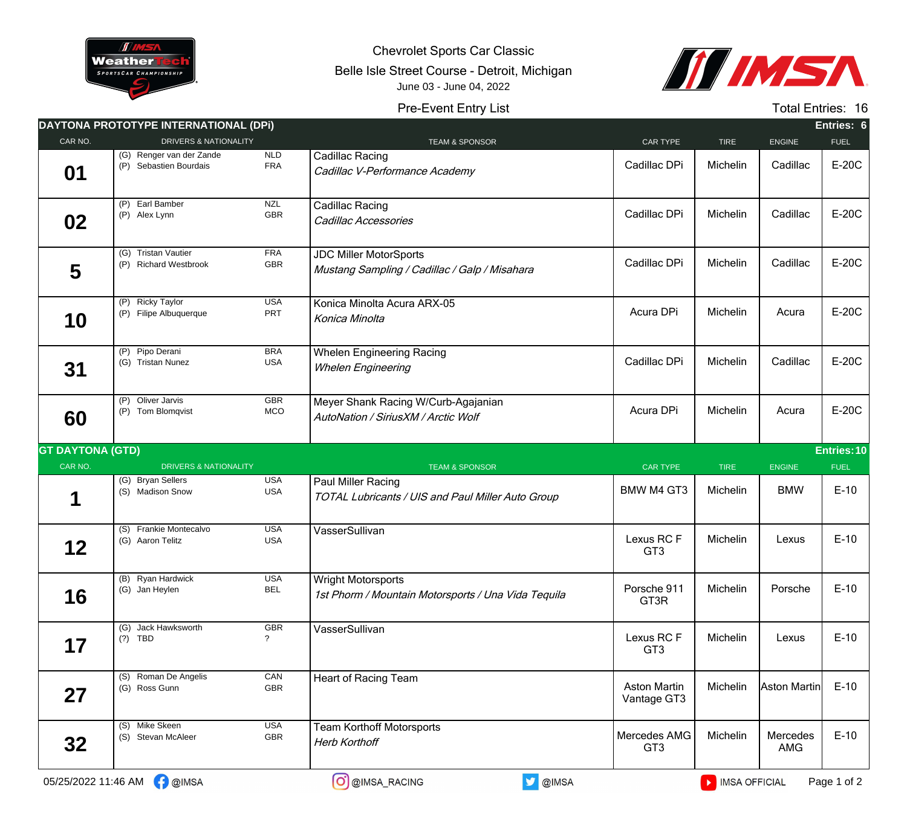

Chevrolet Sports Car Classic

Belle Isle Street Course - Detroit, Michigan June 03 - June 04, 2022



## Pre-Event Entry List

Total Entries: 16

|                         | DAYTONA PROTOTYPE INTERNATIONAL (DPI)              |                          |                                                                                  |                                    |             |                 | Entries: 6  |
|-------------------------|----------------------------------------------------|--------------------------|----------------------------------------------------------------------------------|------------------------------------|-------------|-----------------|-------------|
| CAR NO.                 | <b>DRIVERS &amp; NATIONALITY</b>                   |                          | <b>TEAM &amp; SPONSOR</b>                                                        | CAR TYPE                           | <b>TIRE</b> | <b>ENGINE</b>   | <b>FUEL</b> |
| 01                      | (G) Renger van der Zande<br>(P) Sebastien Bourdais | <b>NLD</b><br><b>FRA</b> | Cadillac Racing<br>Cadillac V-Performance Academy                                | Cadillac DPi                       | Michelin    | Cadillac        | E-20C       |
| 02                      | (P) Earl Bamber<br>(P) Alex Lynn                   | <b>NZL</b><br><b>GBR</b> | Cadillac Racing<br>Cadillac Accessories                                          | Cadillac DPi                       | Michelin    | Cadillac        | E-20C       |
| 5                       | (G) Tristan Vautier<br>(P) Richard Westbrook       | <b>FRA</b><br><b>GBR</b> | <b>JDC Miller MotorSports</b><br>Mustang Sampling / Cadillac / Galp / Misahara   | Cadillac DPi                       | Michelin    | Cadillac        | E-20C       |
| 10                      | (P) Ricky Taylor<br>(P) Filipe Albuquerque         | <b>USA</b><br>PRT        | Konica Minolta Acura ARX-05<br>Konica Minolta                                    | Acura DPi                          | Michelin    | Acura           | E-20C       |
| 31                      | (P) Pipo Derani<br>(G) Tristan Nunez               | <b>BRA</b><br><b>USA</b> | <b>Whelen Engineering Racing</b><br><b>Whelen Engineering</b>                    | Cadillac DPi                       | Michelin    | Cadillac        | E-20C       |
| 60                      | Oliver Jarvis<br>(P)<br>(P) Tom Blomqvist          | <b>GBR</b><br>MCO        | Meyer Shank Racing W/Curb-Agajanian<br>AutoNation / SiriusXM / Arctic Wolf       | Acura DPi                          | Michelin    | Acura           | E-20C       |
| <b>GT DAYTONA (GTD)</b> |                                                    |                          |                                                                                  |                                    |             |                 | Entries: 10 |
| CAR NO.                 | <b>DRIVERS &amp; NATIONALITY</b>                   |                          | <b>TEAM &amp; SPONSOR</b>                                                        | <b>CAR TYPE</b>                    | <b>TIRE</b> | ENGINE          | <b>FUEL</b> |
| 1                       | (G) Bryan Sellers<br>(S) Madison Snow              | <b>USA</b><br><b>USA</b> | Paul Miller Racing<br>TOTAL Lubricants / UIS and Paul Miller Auto Group          | <b>BMW M4 GT3</b>                  | Michelin    | <b>BMW</b>      | $E-10$      |
| 12                      | (S) Frankie Montecalvo<br>(G) Aaron Telitz         | <b>USA</b><br><b>USA</b> | VasserSullivan                                                                   | Lexus RCF<br>GT <sub>3</sub>       | Michelin    | Lexus           | $E-10$      |
| 16                      | (B) Ryan Hardwick<br>(G) Jan Heylen                | <b>USA</b><br><b>BEL</b> | <b>Wright Motorsports</b><br>1st Phorm / Mountain Motorsports / Una Vida Tequila | Porsche 911<br>GT3R                | Michelin    | Porsche         | $E-10$      |
| 17                      | (G) Jack Hawksworth<br>$(?)$ TBD                   | GBR<br>$\tilde{?}$       | VasserSullivan                                                                   | Lexus RCF<br>GT <sub>3</sub>       | Michelin    | Lexus           | $E-10$      |
| 27                      | (S) Roman De Angelis<br>(G) Ross Gunn              | CAN<br>GBR               | Heart of Racing Team                                                             | <b>Aston Martin</b><br>Vantage GT3 | Michelin    | Aston Martin    | $E-10$      |
|                         |                                                    |                          |                                                                                  |                                    |             |                 |             |
| 32                      | (S) Mike Skeen<br>(S) Stevan McAleer               | <b>USA</b><br>GBR        | <b>Team Korthoff Motorsports</b><br><b>Herb Korthoff</b>                         | Mercedes AMG<br>GT <sub>3</sub>    | Michelin    | Mercedes<br>AMG | $E-10$      |